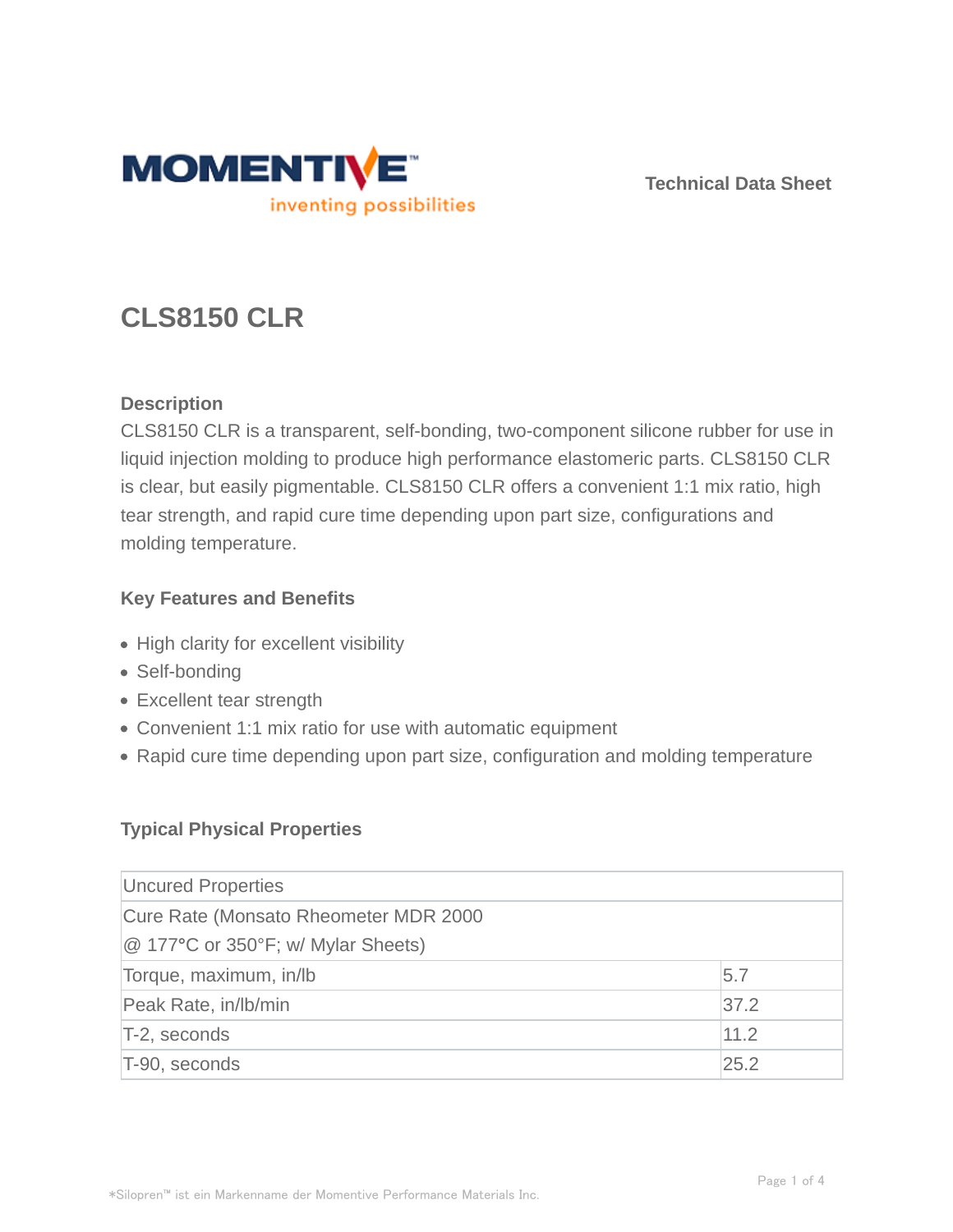

**Technical Data Sheet**

# **CLS8150 CLR**

## **Description**

CLS8150 CLR is a transparent, self-bonding, two-component silicone rubber for use in liquid injection molding to produce high performance elastomeric parts. CLS8150 CLR is clear, but easily pigmentable. CLS8150 CLR offers a convenient 1:1 mix ratio, high tear strength, and rapid cure time depending upon part size, configurations and molding temperature.

## **Key Features and Benefits**

- High clarity for excellent visibility
- Self-bonding
- Excellent tear strength
- Convenient 1:1 mix ratio for use with automatic equipment
- Rapid cure time depending upon part size, configuration and molding temperature

## **Typical Physical Properties**

| Uncured Properties                                                          |      |  |
|-----------------------------------------------------------------------------|------|--|
| Cure Rate (Monsato Rheometer MDR 2000<br>@ 177°C or 350°F; w/ Mylar Sheets) |      |  |
| Torque, maximum, in/lb                                                      | 5.7  |  |
| Peak Rate, in/lb/min                                                        | 37.2 |  |
| T-2, seconds                                                                | 11.2 |  |
| T-90, seconds                                                               | 25.2 |  |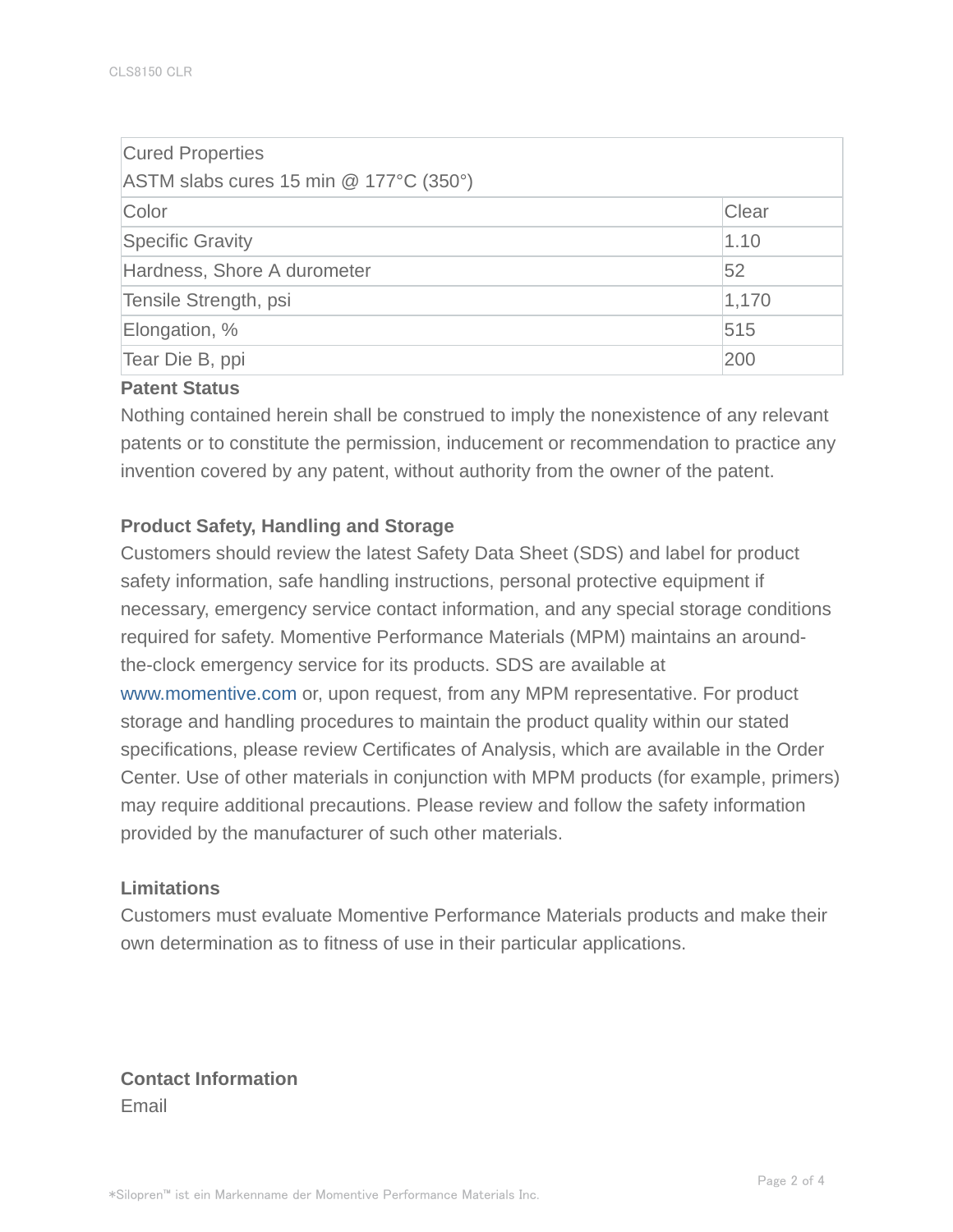| <b>Cured Properties</b><br>ASTM slabs cures 15 min @ 177°C (350°) |       |
|-------------------------------------------------------------------|-------|
| Color                                                             | Clear |
| <b>Specific Gravity</b>                                           | 1.10  |
| Hardness, Shore A durometer                                       | 52    |
| Tensile Strength, psi                                             | 1,170 |
| Elongation, %                                                     | 515   |
| Tear Die B, ppi                                                   | 200   |

## **Patent Status**

Nothing contained herein shall be construed to imply the nonexistence of any relevant patents or to constitute the permission, inducement or recommendation to practice any invention covered by any patent, without authority from the owner of the patent.

#### **Product Safety, Handling and Storage**

Customers should review the latest Safety Data Sheet (SDS) and label for product safety information, safe handling instructions, personal protective equipment if necessary, emergency service contact information, and any special storage conditions required for safety. Momentive Performance Materials (MPM) maintains an aroundthe-clock emergency service for its products. SDS are available at www.momentive.com or, upon request, from any MPM representative. For product storage and handling procedures to maintain the product quality within our stated specifications, please review Certificates of Analysis, which are available in the Order Center. Use of other materials in conjunction with MPM products (for example, primers) may require additional precautions. Please review and follow the safety information provided by the manufacturer of such other materials.

#### **Limitations**

Customers must evaluate Momentive Performance Materials products and make their own determination as to fitness of use in their particular applications.

**Contact Information** Email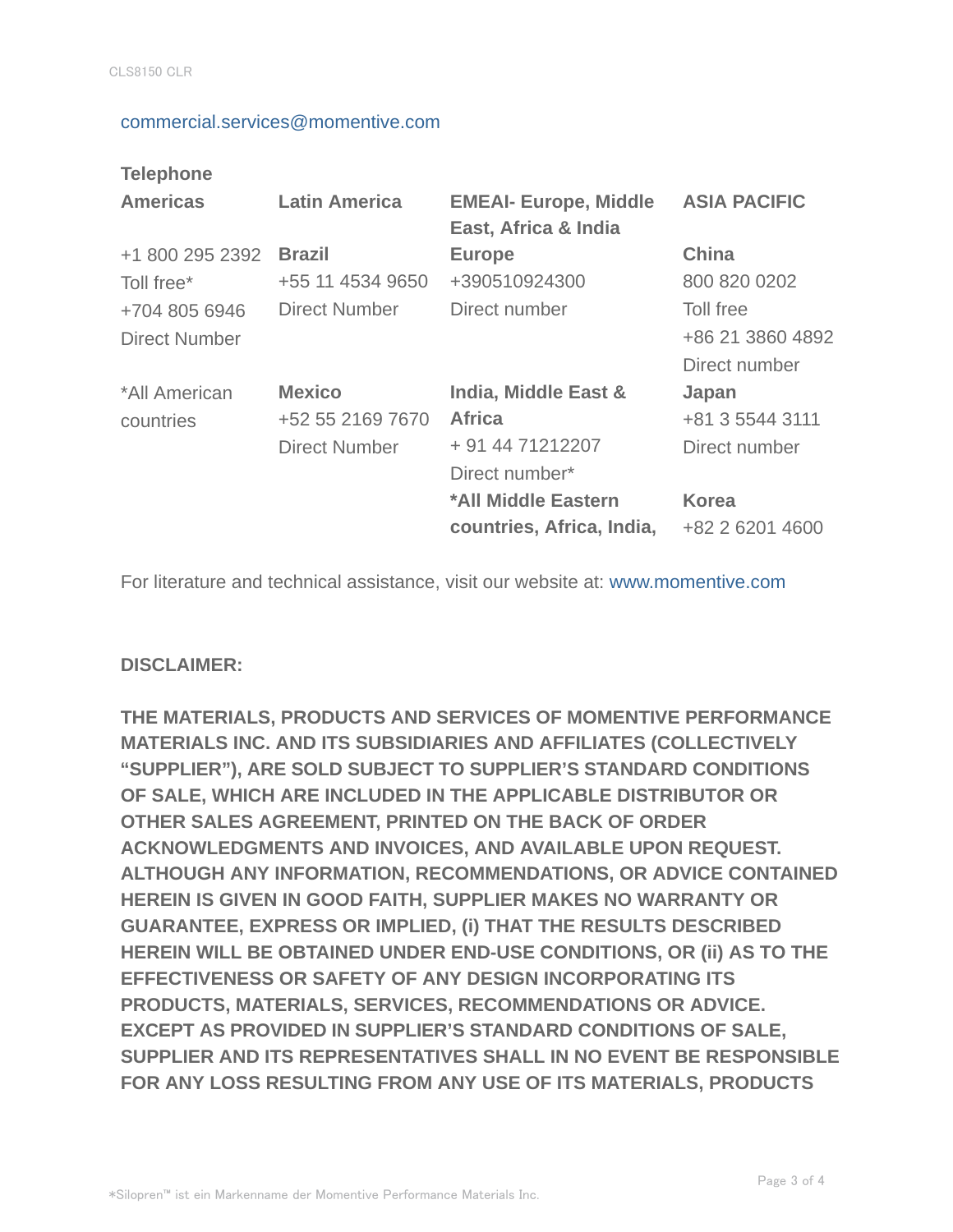#### commercial.services@momentive.com

## **Telephone**

| <b>Americas</b>                       | <b>Latin America</b>                                      | <b>EMEAI- Europe, Middle</b><br>East, Africa & India                        | <b>ASIA PACIFIC</b>                            |
|---------------------------------------|-----------------------------------------------------------|-----------------------------------------------------------------------------|------------------------------------------------|
| +1 800 295 2392<br>Toll free*         | <b>Brazil</b><br>+55 11 4534 9650                         | <b>Europe</b><br>+390510924300                                              | <b>China</b><br>800 820 0202                   |
| +704 805 6946<br><b>Direct Number</b> | <b>Direct Number</b>                                      | Direct number                                                               | Toll free<br>+86 21 3860 4892<br>Direct number |
| *All American<br>countries            | <b>Mexico</b><br>+52 55 2169 7670<br><b>Direct Number</b> | India, Middle East &<br><b>Africa</b><br>+ 91 44 71212207<br>Direct number* | Japan<br>+81 3 5544 3111<br>Direct number      |
|                                       |                                                           | *All Middle Eastern<br>countries, Africa, India,                            | <b>Korea</b><br>+82 2 6201 4600                |

For literature and technical assistance, visit our website at: www.momentive.com

### **DISCLAIMER:**

**THE MATERIALS, PRODUCTS AND SERVICES OF MOMENTIVE PERFORMANCE MATERIALS INC. AND ITS SUBSIDIARIES AND AFFILIATES (COLLECTIVELY "SUPPLIER"), ARE SOLD SUBJECT TO SUPPLIER'S STANDARD CONDITIONS OF SALE, WHICH ARE INCLUDED IN THE APPLICABLE DISTRIBUTOR OR OTHER SALES AGREEMENT, PRINTED ON THE BACK OF ORDER ACKNOWLEDGMENTS AND INVOICES, AND AVAILABLE UPON REQUEST. ALTHOUGH ANY INFORMATION, RECOMMENDATIONS, OR ADVICE CONTAINED HEREIN IS GIVEN IN GOOD FAITH, SUPPLIER MAKES NO WARRANTY OR GUARANTEE, EXPRESS OR IMPLIED, (i) THAT THE RESULTS DESCRIBED HEREIN WILL BE OBTAINED UNDER END-USE CONDITIONS, OR (ii) AS TO THE EFFECTIVENESS OR SAFETY OF ANY DESIGN INCORPORATING ITS PRODUCTS, MATERIALS, SERVICES, RECOMMENDATIONS OR ADVICE. EXCEPT AS PROVIDED IN SUPPLIER'S STANDARD CONDITIONS OF SALE, SUPPLIER AND ITS REPRESENTATIVES SHALL IN NO EVENT BE RESPONSIBLE FOR ANY LOSS RESULTING FROM ANY USE OF ITS MATERIALS, PRODUCTS**